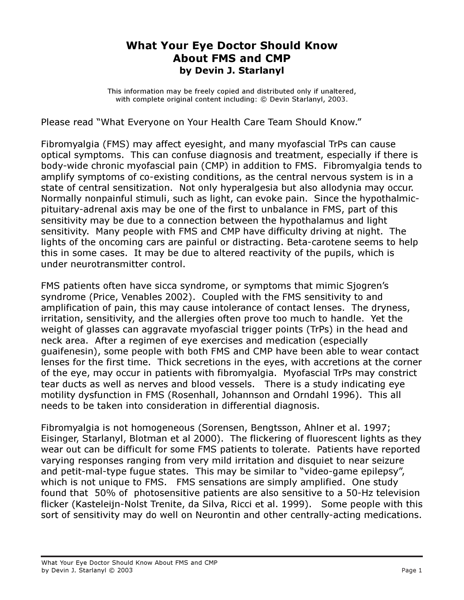## What Your Eye Doctor Should Know About FMS and CMP by Devin J. Starlanyl

This information may be freely copied and distributed only if unaltered, with complete original content including: © Devin Starlanyl, 2003.

Please read "What Everyone on Your Health Care Team Should Know."

Fibromyalgia (FMS) may affect eyesight, and many myofascial TrPs can cause optical symptoms. This can confuse diagnosis and treatment, especially if there is body-wide chronic myofascial pain (CMP) in addition to FMS. Fibromyalgia tends to amplify symptoms of co-existing conditions, as the central nervous system is in a state of central sensitization. Not only hyperalgesia but also allodynia may occur. Normally nonpainful stimuli, such as light, can evoke pain. Since the hypothalmicpituitary-adrenal axis may be one of the first to unbalance in FMS, part of this sensitivity may be due to a connection between the hypothalamus and light sensitivity. Many people with FMS and CMP have difficulty driving at night. The lights of the oncoming cars are painful or distracting. Beta-carotene seems to help this in some cases. It may be due to altered reactivity of the pupils, which is under neurotransmitter control.

FMS patients often have sicca syndrome, or symptoms that mimic Sjogren's syndrome (Price, Venables 2002). Coupled with the FMS sensitivity to and amplification of pain, this may cause intolerance of contact lenses. The dryness, irritation, sensitivity, and the allergies often prove too much to handle. Yet the weight of glasses can aggravate myofascial trigger points (TrPs) in the head and neck area. After a regimen of eye exercises and medication (especially guaifenesin), some people with both FMS and CMP have been able to wear contact lenses for the first time. Thick secretions in the eyes, with accretions at the corner of the eye, may occur in patients with fibromyalgia. Myofascial TrPs may constrict tear ducts as well as nerves and blood vessels. There is a study indicating eye motility dysfunction in FMS (Rosenhall, Johannson and Orndahl 1996). This all needs to be taken into consideration in differential diagnosis.

Fibromyalgia is not homogeneous (Sorensen, Bengtsson, Ahlner et al. 1997; Eisinger, Starlanyl, Blotman et al 2000). The flickering of fluorescent lights as they wear out can be difficult for some FMS patients to tolerate. Patients have reported varying responses ranging from very mild irritation and disquiet to near seizure and petit-mal-type fugue states. This may be similar to "video-game epilepsy", which is not unique to FMS. FMS sensations are simply amplified. One study found that 50% of photosensitive patients are also sensitive to a 50-Hz television flicker (Kasteleijn-Nolst Trenite, da Silva, Ricci et al. 1999). Some people with this sort of sensitivity may do well on Neurontin and other centrally-acting medications.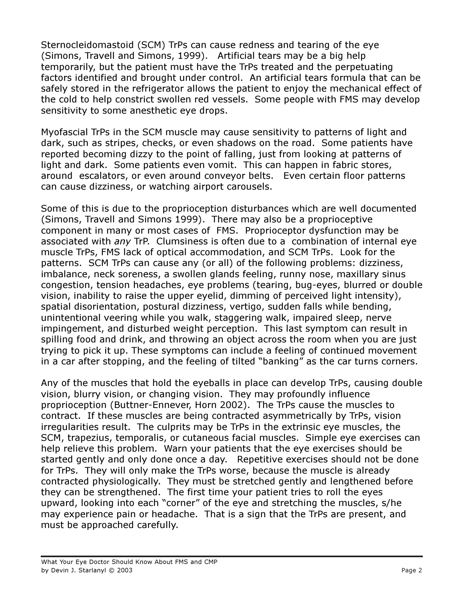Sternocleidomastoid (SCM) TrPs can cause redness and tearing of the eye (Simons, Travell and Simons, 1999). Artificial tears may be a big help temporarily, but the patient must have the TrPs treated and the perpetuating factors identified and brought under control. An artificial tears formula that can be safely stored in the refrigerator allows the patient to enjoy the mechanical effect of the cold to help constrict swollen red vessels. Some people with FMS may develop sensitivity to some anesthetic eye drops.

Myofascial TrPs in the SCM muscle may cause sensitivity to patterns of light and dark, such as stripes, checks, or even shadows on the road. Some patients have reported becoming dizzy to the point of falling, just from looking at patterns of light and dark. Some patients even vomit. This can happen in fabric stores, around escalators, or even around conveyor belts. Even certain floor patterns can cause dizziness, or watching airport carousels.

Some of this is due to the proprioception disturbances which are well documented (Simons, Travell and Simons 1999). There may also be a proprioceptive component in many or most cases of FMS. Proprioceptor dysfunction may be associated with any TrP. Clumsiness is often due to a combination of internal eye muscle TrPs, FMS lack of optical accommodation, and SCM TrPs. Look for the patterns. SCM TrPs can cause any (or all) of the following problems: dizziness, imbalance, neck soreness, a swollen glands feeling, runny nose, maxillary sinus congestion, tension headaches, eye problems (tearing, bug-eyes, blurred or double vision, inability to raise the upper eyelid, dimming of perceived light intensity), spatial disorientation, postural dizziness, vertigo, sudden falls while bending, unintentional veering while you walk, staggering walk, impaired sleep, nerve impingement, and disturbed weight perception. This last symptom can result in spilling food and drink, and throwing an object across the room when you are just trying to pick it up. These symptoms can include a feeling of continued movement in a car after stopping, and the feeling of tilted "banking" as the car turns corners.

Any of the muscles that hold the eyeballs in place can develop TrPs, causing double vision, blurry vision, or changing vision. They may profoundly influence proprioception (Buttner-Ennever, Horn 2002). The TrPs cause the muscles to contract. If these muscles are being contracted asymmetrically by TrPs, vision irregularities result. The culprits may be TrPs in the extrinsic eye muscles, the SCM, trapezius, temporalis, or cutaneous facial muscles. Simple eye exercises can help relieve this problem. Warn your patients that the eye exercises should be started gently and only done once a day. Repetitive exercises should not be done for TrPs. They will only make the TrPs worse, because the muscle is already contracted physiologically. They must be stretched gently and lengthened before they can be strengthened. The first time your patient tries to roll the eyes upward, looking into each "corner" of the eye and stretching the muscles, s/he may experience pain or headache. That is a sign that the TrPs are present, and must be approached carefully.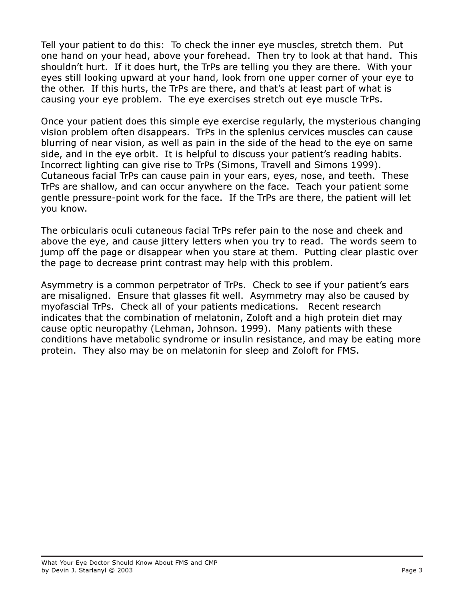Tell your patient to do this: To check the inner eye muscles, stretch them. Put one hand on your head, above your forehead. Then try to look at that hand. This shouldn't hurt. If it does hurt, the TrPs are telling you they are there. With your eyes still looking upward at your hand, look from one upper corner of your eye to the other. If this hurts, the TrPs are there, and that's at least part of what is causing your eye problem. The eye exercises stretch out eye muscle TrPs.

Once your patient does this simple eye exercise regularly, the mysterious changing vision problem often disappears. TrPs in the splenius cervices muscles can cause blurring of near vision, as well as pain in the side of the head to the eye on same side, and in the eye orbit. It is helpful to discuss your patient's reading habits. Incorrect lighting can give rise to TrPs (Simons, Travell and Simons 1999). Cutaneous facial TrPs can cause pain in your ears, eyes, nose, and teeth. These TrPs are shallow, and can occur anywhere on the face. Teach your patient some gentle pressure-point work for the face. If the TrPs are there, the patient will let you know.

The orbicularis oculi cutaneous facial TrPs refer pain to the nose and cheek and above the eye, and cause jittery letters when you try to read. The words seem to jump off the page or disappear when you stare at them. Putting clear plastic over the page to decrease print contrast may help with this problem.

Asymmetry is a common perpetrator of TrPs. Check to see if your patient's ears are misaligned. Ensure that glasses fit well. Asymmetry may also be caused by myofascial TrPs. Check all of your patients medications. Recent research indicates that the combination of melatonin, Zoloft and a high protein diet may cause optic neuropathy (Lehman, Johnson. 1999). Many patients with these conditions have metabolic syndrome or insulin resistance, and may be eating more protein. They also may be on melatonin for sleep and Zoloft for FMS.